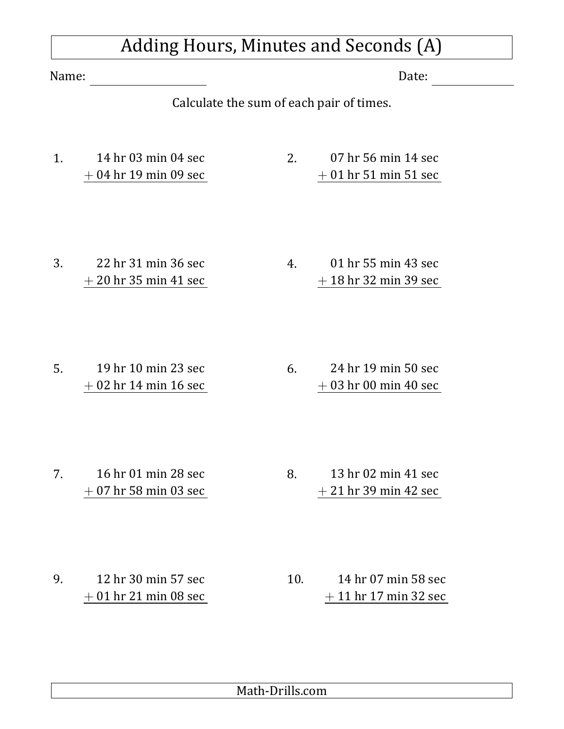## Adding Hours, Minutes and Seconds (A)

Name: Explorer Explorer Solution (Name: Explorer Solution (Name) and Date:

Calculate the sum of each pair of times.

1. 14 hr 03 min 04 sec + 04 hr 19 min 09 sec 2. 07 hr 56 min 14 sec + 01 hr 51 min 51 sec

3. 22 hr 31 min 36 sec + 20 hr 35 min 41 sec 4. 01 hr 55 min 43 sec + 18 hr 32 min 39 sec

5. 19 hr 10 min 23 sec + 02 hr 14 min 16 sec 6. 24 hr 19 min 50 sec + 03 hr 00 min 40 sec

7. 16 hr 01 min 28 sec + 07 hr 58 min 03 sec 8. 13 hr 02 min 41 sec + 21 hr 39 min 42 sec

9. 12 hr 30 min 57 sec + 01 hr 21 min 08 sec 10. 14 hr 07 min 58 sec + 11 hr 17 min 32 sec